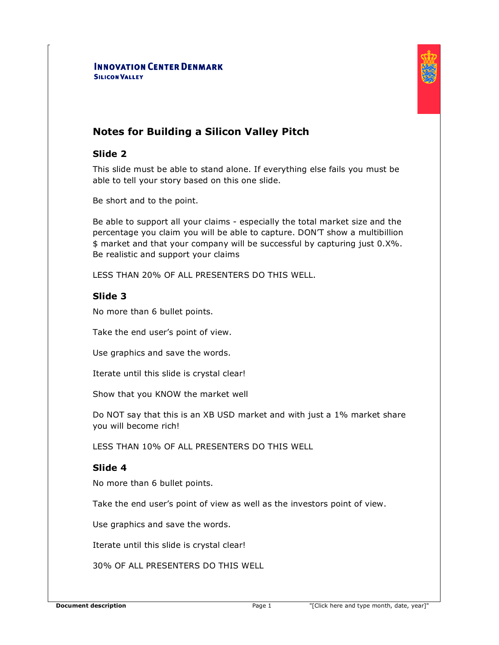#### **INNOVATION CENTER DENMARK SILICON VALLEY**



#### **Slide 2**

This slide must be able to stand alone. If everything else fails you must be able to tell your story based on this one slide.

Be short and to the point.

Be able to support all your claims - especially the total market size and the percentage you claim you will be able to capture. DON'T show a multibillion \$ market and that your company will be successful by capturing just 0.X%. Be realistic and support your claims

LESS THAN 20% OF ALL PRESENTERS DO THIS WELL.

# **Slide 3**

No more than 6 bullet points.

Take the end user's point of view.

Use graphics and save the words.

Iterate until this slide is crystal clear!

Show that you KNOW the market well

Do NOT say that this is an XB USD market and with just a 1% market share you will become rich!

LESS THAN 10% OF ALL PRESENTERS DO THIS WELL

# **Slide 4**

No more than 6 bullet points.

Take the end user's point of view as well as the investors point of view.

Use graphics and save the words.

Iterate until this slide is crystal clear!

30% OF ALL PRESENTERS DO THIS WELL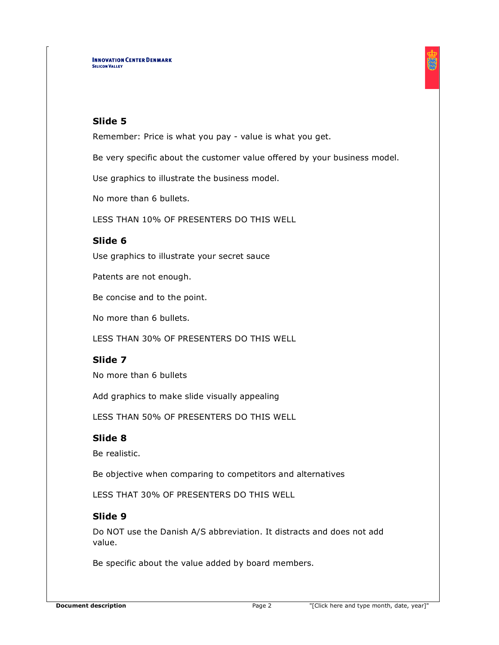#### **Slide 5**

Remember: Price is what you pay - value is what you get.

Be very specific about the customer value offered by your business model.

Use graphics to illustrate the business model.

No more than 6 bullets.

LESS THAN 10% OF PRESENTERS DO THIS WELL

#### **Slide 6**

Use graphics to illustrate your secret sauce

Patents are not enough.

Be concise and to the point.

No more than 6 bullets.

LESS THAN 30% OF PRESENTERS DO THIS WELL

# **Slide 7**

No more than 6 bullets

Add graphics to make slide visually appealing

LESS THAN 50% OF PRESENTERS DO THIS WELL

#### **Slide 8**

Be realistic.

Be objective when comparing to competitors and alternatives

LESS THAT 30% OF PRESENTERS DO THIS WELL

# **Slide 9**

Do NOT use the Danish A/S abbreviation. It distracts and does not add value.

Be specific about the value added by board members.

髑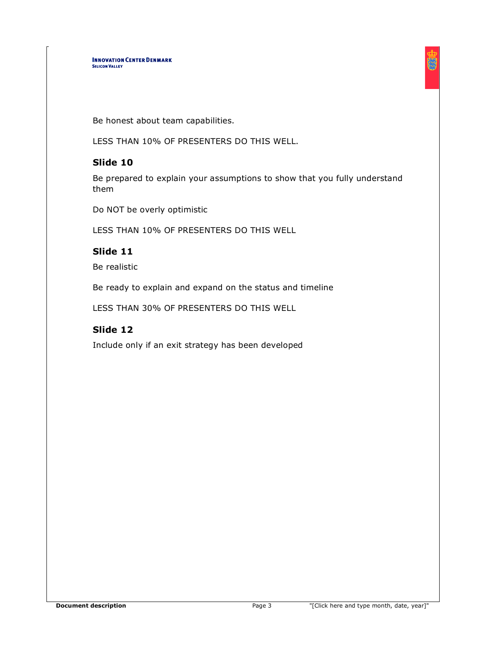Be honest about team capabilities.

LESS THAN 10% OF PRESENTERS DO THIS WELL.

# **Slide 10**

Be prepared to explain your assumptions to show that you fully understand them

Do NOT be overly optimistic

LESS THAN 10% OF PRESENTERS DO THIS WELL

# **Slide 11**

Be realistic

Be ready to explain and expand on the status and timeline

LESS THAN 30% OF PRESENTERS DO THIS WELL

# **Slide 12**

Include only if an exit strategy has been developed

蜀